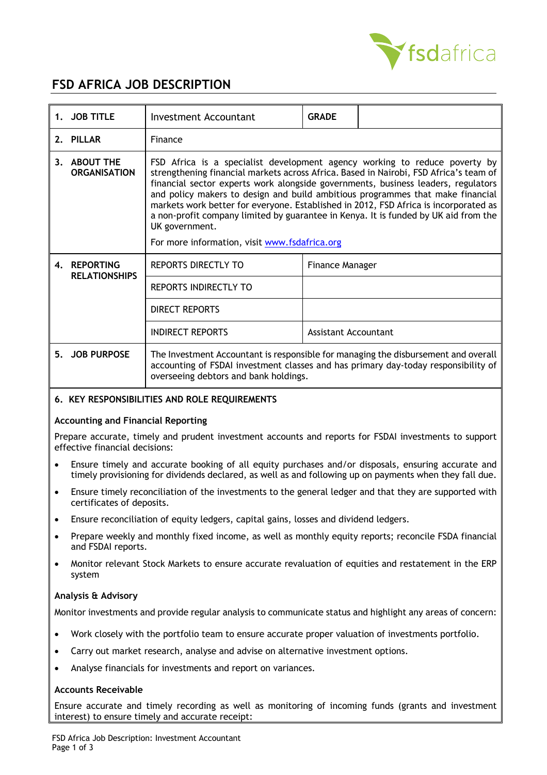

# **FSD AFRICA JOB DESCRIPTION**

| 1. JOB TITLE                                      | <b>Investment Accountant</b>                                                                                                                                                                                                                                                                                                                                                                                                                                                                                                                                                                 | <b>GRADE</b>         |  |  |  |
|---------------------------------------------------|----------------------------------------------------------------------------------------------------------------------------------------------------------------------------------------------------------------------------------------------------------------------------------------------------------------------------------------------------------------------------------------------------------------------------------------------------------------------------------------------------------------------------------------------------------------------------------------------|----------------------|--|--|--|
| 2. PILLAR                                         | Finance                                                                                                                                                                                                                                                                                                                                                                                                                                                                                                                                                                                      |                      |  |  |  |
| 3. ABOUT THE<br><b>ORGANISATION</b>               | FSD Africa is a specialist development agency working to reduce poverty by<br>strengthening financial markets across Africa. Based in Nairobi, FSD Africa's team of<br>financial sector experts work alongside governments, business leaders, regulators<br>and policy makers to design and build ambitious programmes that make financial<br>markets work better for everyone. Established in 2012, FSD Africa is incorporated as<br>a non-profit company limited by guarantee in Kenya. It is funded by UK aid from the<br>UK government.<br>For more information, visit www.fsdafrica.org |                      |  |  |  |
| 4. REPORTING<br><b>RELATIONSHIPS</b>              | REPORTS DIRECTLY TO                                                                                                                                                                                                                                                                                                                                                                                                                                                                                                                                                                          | Finance Manager      |  |  |  |
|                                                   | REPORTS INDIRECTLY TO                                                                                                                                                                                                                                                                                                                                                                                                                                                                                                                                                                        |                      |  |  |  |
|                                                   | <b>DIRECT REPORTS</b>                                                                                                                                                                                                                                                                                                                                                                                                                                                                                                                                                                        |                      |  |  |  |
|                                                   | <b>INDIRECT REPORTS</b>                                                                                                                                                                                                                                                                                                                                                                                                                                                                                                                                                                      | Assistant Accountant |  |  |  |
| 5. JOB PURPOSE                                    | The Investment Accountant is responsible for managing the disbursement and overall<br>accounting of FSDAI investment classes and has primary day-today responsibility of<br>overseeing debtors and bank holdings.                                                                                                                                                                                                                                                                                                                                                                            |                      |  |  |  |
| <b>VEV DECOONCIBILITIES AND DOLE DEQUIDEMENTS</b> |                                                                                                                                                                                                                                                                                                                                                                                                                                                                                                                                                                                              |                      |  |  |  |

## **6. KEY RESPONSIBILITIES AND ROLE REQUIREMENTS**

#### **Accounting and Financial Reporting**

Prepare accurate, timely and prudent investment accounts and reports for FSDAI investments to support effective financial decisions:

- Ensure timely and accurate booking of all equity purchases and/or disposals, ensuring accurate and timely provisioning for dividends declared, as well as and following up on payments when they fall due.
- Ensure timely reconciliation of the investments to the general ledger and that they are supported with certificates of deposits.
- Ensure reconciliation of equity ledgers, capital gains, losses and dividend ledgers.
- Prepare weekly and monthly fixed income, as well as monthly equity reports; reconcile FSDA financial and FSDAI reports.
- Monitor relevant Stock Markets to ensure accurate revaluation of equities and restatement in the ERP system

#### **Analysis & Advisory**

Monitor investments and provide regular analysis to communicate status and highlight any areas of concern:

- Work closely with the portfolio team to ensure accurate proper valuation of investments portfolio.
- Carry out market research, analyse and advise on alternative investment options.
- Analyse financials for investments and report on variances.

#### **Accounts Receivable**

Ensure accurate and timely recording as well as monitoring of incoming funds (grants and investment interest) to ensure timely and accurate receipt: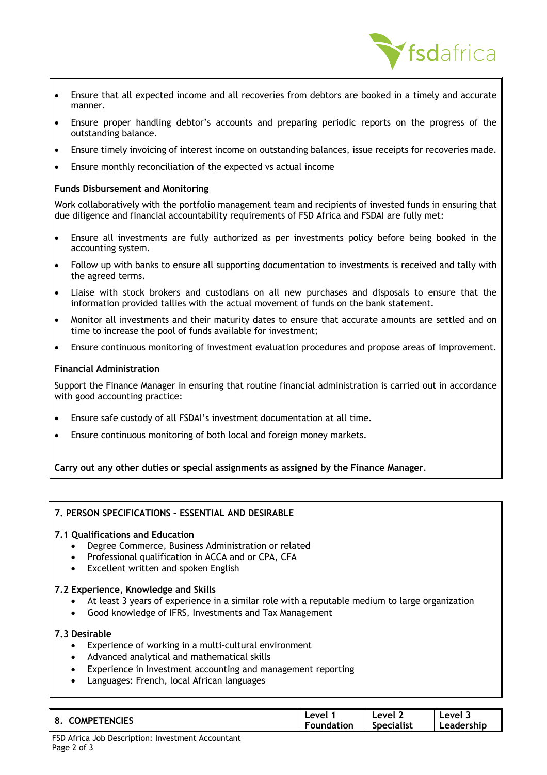

- Ensure that all expected income and all recoveries from debtors are booked in a timely and accurate manner.
- Ensure proper handling debtor's accounts and preparing periodic reports on the progress of the outstanding balance.
- Ensure timely invoicing of interest income on outstanding balances, issue receipts for recoveries made.
- Ensure monthly reconciliation of the expected vs actual income

### **Funds Disbursement and Monitoring**

Work collaboratively with the portfolio management team and recipients of invested funds in ensuring that due diligence and financial accountability requirements of FSD Africa and FSDAI are fully met:

- Ensure all investments are fully authorized as per investments policy before being booked in the accounting system.
- Follow up with banks to ensure all supporting documentation to investments is received and tally with the agreed terms.
- Liaise with stock brokers and custodians on all new purchases and disposals to ensure that the information provided tallies with the actual movement of funds on the bank statement.
- Monitor all investments and their maturity dates to ensure that accurate amounts are settled and on time to increase the pool of funds available for investment;
- Ensure continuous monitoring of investment evaluation procedures and propose areas of improvement.

#### **Financial Administration**

Support the Finance Manager in ensuring that routine financial administration is carried out in accordance with good accounting practice:

- Ensure safe custody of all FSDAI's investment documentation at all time.
- Ensure continuous monitoring of both local and foreign money markets.

**Carry out any other duties or special assignments as assigned by the Finance Manager**.

## **7. PERSON SPECIFICATIONS – ESSENTIAL AND DESIRABLE**

#### **7.1 Qualifications and Education**

- Degree Commerce, Business Administration or related
- Professional qualification in ACCA and or CPA, CFA
- **Excellent written and spoken English**

#### **7.2 Experience, Knowledge and Skills**

- At least 3 years of experience in a similar role with a reputable medium to large organization
- Good knowledge of IFRS, Investments and Tax Management

#### **7.3 Desirable**

- Experience of working in a multi-cultural environment
- Advanced analytical and mathematical skills
- Experience in Investment accounting and management reporting
- Languages: French, local African languages

| <b>TENCIFS</b><br>O<br>JMPF.<br>о.<br>--- | <b>AVA</b><br>-<br>.ion<br>וחי | evel<br><b>Specialist</b> | ام د<br>-- |  |
|-------------------------------------------|--------------------------------|---------------------------|------------|--|
|-------------------------------------------|--------------------------------|---------------------------|------------|--|